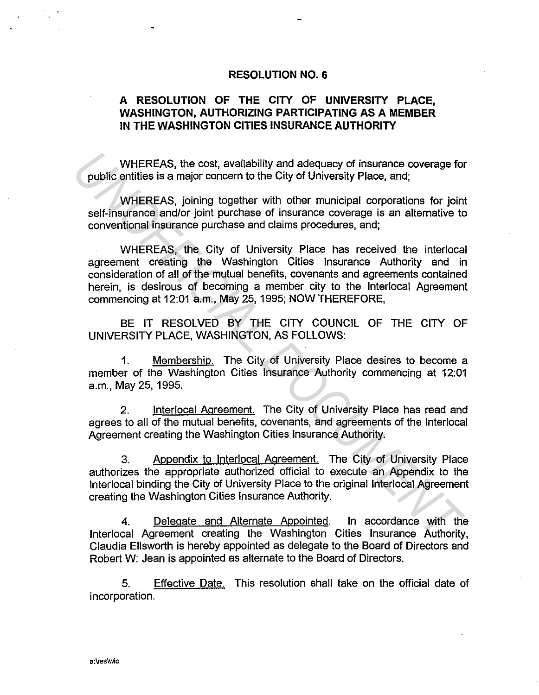# **RESOLUTION NO. 6**

# **A RESOLUTION OF THE CITY OF UNIVERSITY PLACE, WASHINGTON, AUTHORIZING PARTICIPATING AS A MEMBER IN THE WASHINGTON CITIES INSURANCE AUTHORITY**

WHEREAS, the cost, availability and adequacy of insurance coverage for public entities is a major concern to the City of University Place, and;

WHEREAS, joining together with other municipal corporations for joint self-insurance and/or joint purchase of insurance coverage is an alternative to conventional insurance purchase and claims procedures, and;

WHEREAS, the City of University Place has received the interlocal agreement creating the Washington Cities Insurance Authority and in consideration of all of the mutual benefits, covenants and agreements contained herein, is desirous of becoming a member city to the lnterlocal Agreement commencing at 12:01 a.m., May 25, 1995; NOW THEREFORE, WHEREAS, the cost, availability and adequacy of insurance coverage for<br>
public entities is a major concern to the City of University Place, and;<br>
WHEREAS, joining together with other municipal corporations for join<br>
self-i

BE IT RESOLVED BY THE CITY COUNCIL OF THE CITY OF UNIVERSITY PLACE, WASHINGTON, AS FOLLOWS:

1. Membership. The City of University Place desires to become a member of the Washington Cities Insurance Authority commencing at 12:01 a.m., May 25, 1995.

2. lnterlocal Agreement. The City of University Place has read and agrees to all of the mutual benefits, covenants, and agreements of the lnterlocal Agreement creating the Washington Cities Insurance Authority.

3. Appendix to lnterlocal Agreement. The City of University Place authorizes the appropriate authorized official to execute an Appendix to the lnterlocal binding the City of University Place to the original lnterlocal Agreement creating the Washington Cities Insurance Authority.

4. Delegate and Alternate Appointed. In accordance with the lnterlocal Agreement creating the Washington Cities Insurance Authority, Claudia Ellsworth is hereby appointed as delegate to the Board of Directors and Robert W: Jean is appointed as alternate to the Board of Directors.

5. Effective Date. This resolution shall take on the official date of incorporation.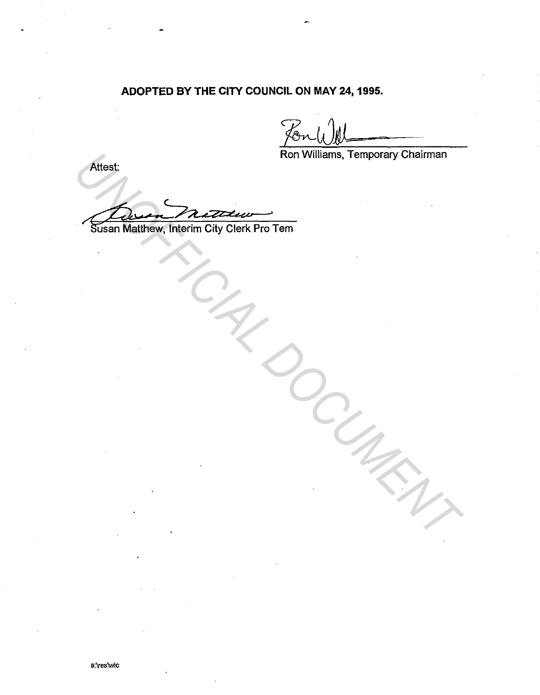# **ADOPTED BY THE CITY COUNCIL ON MAY 24, 1995.**

Ron Williams, Temporary Chairman

*UNOFFICIAL DOCUMENT*

Attest:

Susan Matthew, Interim City Clerk Pro Tem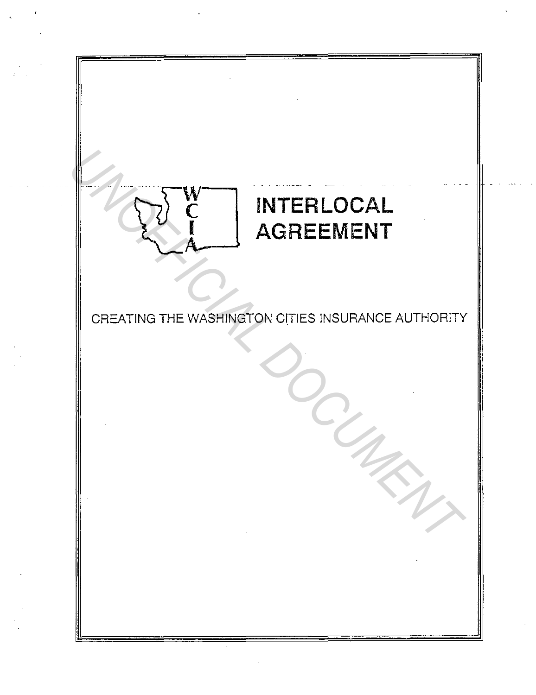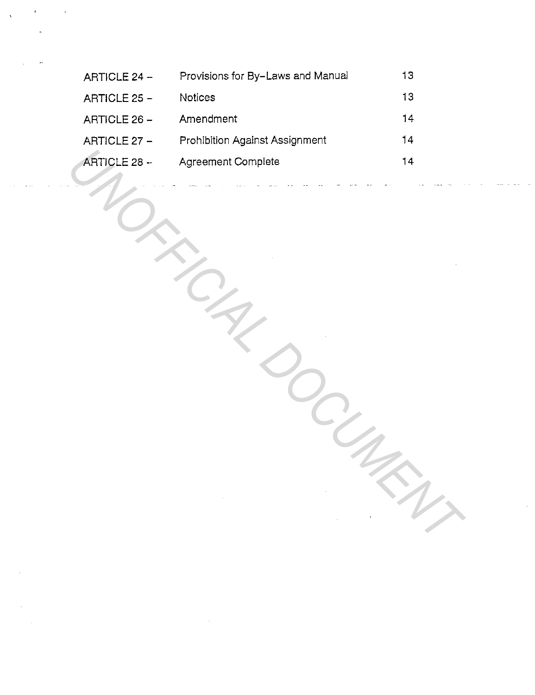| ARTICLE 24 - | Provisions for By-Laws and Manual | 13 |
|--------------|-----------------------------------|----|
| ARTICLE 25 - | Notices                           | 13 |
| ARTICLE 26 - | Amendment                         | 14 |
| ARTICLE 27 - | Prohibition Against Assignment    | 14 |
| ARTICLE 28 - | <b>Agreement Complete</b>         | 14 |
|              |                                   |    |

 $\sim$   $\sim$ 

 $\sim 10^6$ 

*DOCUMENT*

 $\sim 10$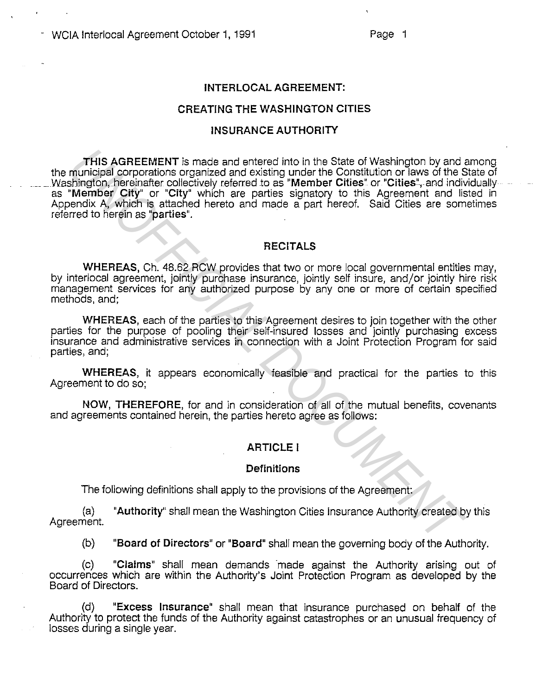#### **INTER LOCAL AGREEMENT:**

### **CREATING THE WASHINGTON CITIES**

#### **INSURANCE AUTHORITY**

**THIS AGREEMENT** is made and entered into in the State of Washington by and among the municipal corporations organized and existing under the Constitution or laws of the State of Washington, hereinafter collectively referred to as "Member Cities" or "Cities", and individually as **"Member City" or "City"** which are parties signatory to this Agreement and listed in Appendix A, which is attached hereto and made a part hereof. Said Cities are sometimes referred to herein as **"parties".**  THIS AGREEMENT is made and entered into in the State of Washington by and minicipal corporations organized and existing under the Constitution or laws of the Simpler Chipser Chipser Chipser Chipser Chipser Chipser Chipser

#### **RECITALS**

**WHEREAS,** Ch. 48.62 RCW provides that two or more local governmental entities may, by interlocal agreement, jointly purchase insurance, jointly self insure, and/or jointly hire risk management services for any authorized purpose by any one or more of certain specified methods, and;

**WHEREAS,** each of the parties to this Agreement desires to join together with the other parties for the purpose of pooling their self-insured losses and jointly purchasing excess insurance and administrative services in connection with a Joint Protection Program for said parties, and;

**WHEREAS,** it appears economically feasible and practical for the parties to this Agreement to do so;

**NOW, THEREFORE,** for and in consideration of all of the mutual benefits, covenants and agreements contained herein, the parties hereto agree as follows:

#### **ARTICLE I**

#### **Definitions**

The following definitions shall apply to the provisions of the Agreement:

(a) **"Authority"** shall mean the Washington Cities Insurance Authority created by this Agreement.

(b) **"Board of Directors" or "Board"** shall mean the governing body of the Authority.

(c) **"Claims"** shall mean demands made against the Authority arising out of occurrences which are within the Authority's Joint Protection Program as developed by the Board of Directors.

(d) **"Excess Insurance"** shall mean that insurance purchased on behalf of the Authority to protect the funds of the Authority against catastrophes or an unusual frequency of losses during a single year.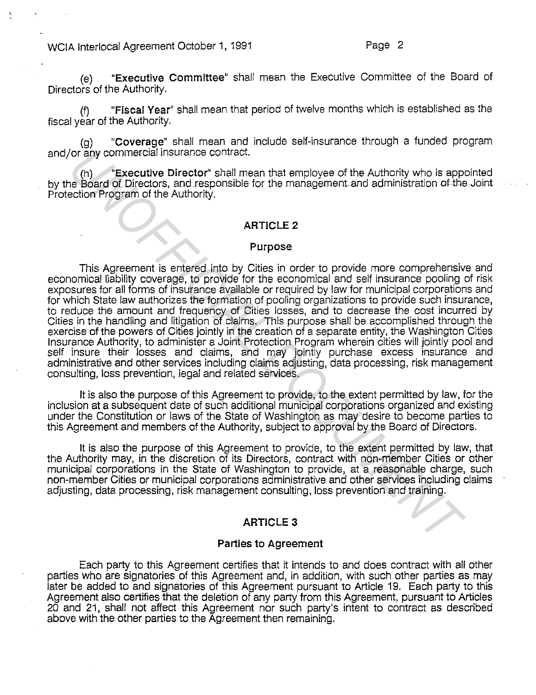(e) "Executive Committee" shall mean the Executive Committee of the Board of Directors of the Authority.

(f) "Fiscal Year" shall mean that period of twelve months which is established as the fiscal year of the Authority.

(g) "Coverage" shall mean and include self-insurance through a funded program and/or any commercial insurance contract.

(h) "Executive Director" shall mean that employee of the Authority who is appointed by the Board ot Directors, and responsible for the management and administration ofthe Joint Protection Program of the Authority.

#### **ARTICLE 2**

#### Purpose

This Agreement is entered into by Cities in order to provide more comprehensive and economical liability coverage, to provide for the economical and self insurance pooling of risk exposures for all forms of insurance available or required by law for municipal corporations and for which State law authorizes the formation of pooling organizations to provide such insurance, to reduce the amount and frequency of Cities losses, and to decrease the cost incurred by Cities in the handling and litigation of claims. This purpose shall be accomplished through the exercise of the powers of Cities jointly in the creation of a separate entity, the Washington Cities Insurance Authority, to administer a Joint Protection Program wherein cities will jointly pool and self insure their losses and claims, and may jointly purchase excess insurance and administrative and other services including claims adjusting, data processing, risk management consulting, loss prevention, legal and related services. (r) interesting insurance contract.<br>
The Board of Directors, and responsible for the management and administration of the phoard of Directors, and responsible for the management and administration of the election Program o

It is also the purpose of this Agreement to provide, to the extent permitted by law, for the inclusion at a subsequent date of such additional municipal corporations organized and existing under the Constitution or laws of the State of Washington as may desire to become parties to this Agreement and members of the Authority, subject to approval by the Board of Directors.

It is also the purpose of this Agreement to provide, to the extent permitted by law, that the Authority may, in the discretion of its Directors, contract with non-member Cities or other municipal corporations in the State of Washington to provide, at a reasonable charge, such non-member Cities or municipal corporations administrative and other services including claims adjusting, data processing, risk management consulting, loss prevention and training.

# ARTICLE3

#### Parties to Agreement

Each party to this Agreement certifies that it intends to and does contract with all other parties who are signatories of this Agreement and, in addition, with such other parties as may later be added to and signatories of this Agreement pursuant to Article 19. Each party to this Agreement also certifies that the deletion of any party from this Agreement, pursuant to Articles 20 and 21, shall not affect this Agreement nor such party's intent to contract as described above with the other parties to the Agreement then remaining.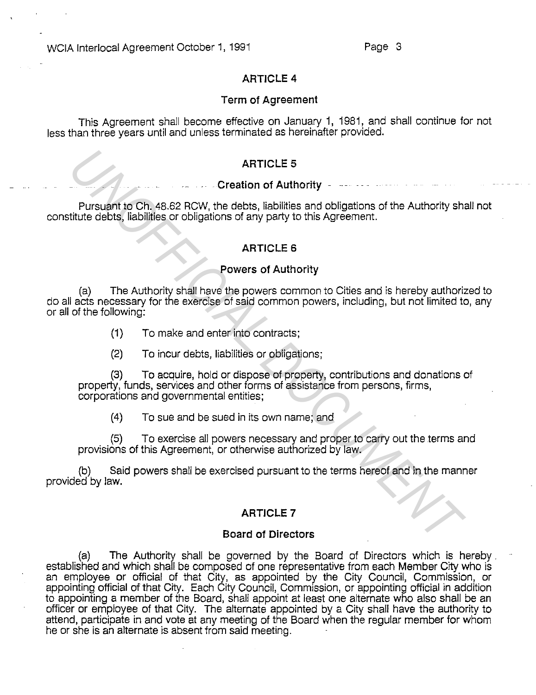# **ARTICLE 4**

# **Term of Agreement**

This Agreement shall become effective on January 1, 1981, and shall continue for not less than three years until and unless terminated as hereinafter provided.

# **ARTICLE 5**

# **Creation of Authority**

Pursuant to Ch. 48.62 RCW, the debts, liabilities and obligations of the Authority shall not constitute debts, liabilities or obligations of any party to this Agreement.

# **ARTICLE 6**

### **Powers of Authority**

(a) The Authority shall have the powers common to Cities and is hereby authorized to do all acts necessary for the exercise of said common powers, including, but not limited to, any or all of the following: **Example 19 ARTICLE 5**<br> **UNAFFICILE 5**<br> **UNAFFICITE DEVELONE AUTOMOTE PARTICLE CONSULTER AUTOMOTIVE STATE CLE CONSULTER AUTOMOTIVE AUTOMOTIVE AUTOMOTIVE AUTOMOTIC TO THE AUTOMOTIC CHE AUTOMOTIC CHE AUTOMOTIC CHE AUTOMOTIC** 

- (1) To make and enter into contracts;
- (2) To incur debts, liabilities or obligations;

(3) To acquire, hold or dispose of property, contributions and donations of property, funds, services and other forms of assistance from persons, firms, corporations and governmental entities;

(4) To sue and be sued in its own name; and

(5) To exercise all powers necessary and proper to carry out the terms and provisions of this Agreement, or otherwise authorized by law.

(b) Said powers shall be exercised pursuant to the terms hereof and in the manner provided by Jaw.

# **ARTICLE 7**

#### **Board of Directors**

(a) The Authority shall be governed by the Board of Directors which is hereby . established and which shall be composed of one representative from each Member City who is an employee or official of that City, as appointed by the City Council, Commission, or appointing official of that City. Each City Council, Commission, or appointing official in addition to appointing a member of the Board, shall appoint *at* least one alternate who also shall be an officer or employee of that City. The alternate appointed by a City shall have the authority to attend, participate in and vote at any meeting of the Board when the regular member for whom he or she is an alternate is absent from said meeting.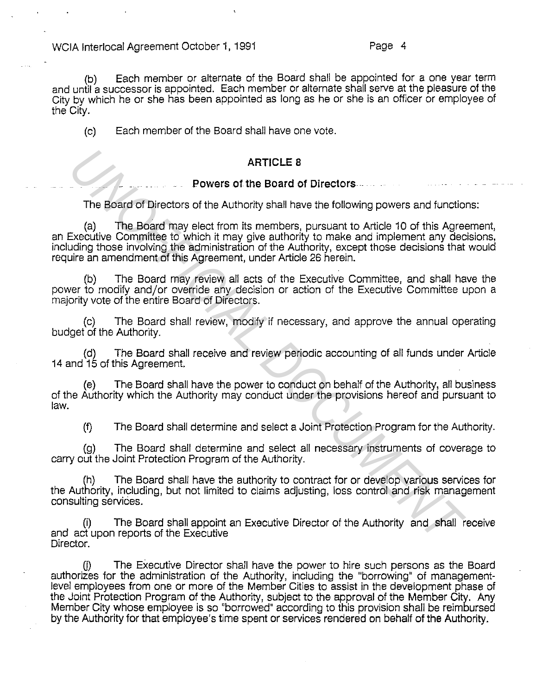{b) Each member or alternate of the Board shall be appointed for a one year term and until a successor is appointed. Each member or alternate shall serve at the pleasure of the City by which he or she has been appointed as long as he or she is an officer or employee of the City.

{c) Each member of the Board shall have one vote.

# **ARTICLE 8**

### **Powers of the Board of Directors** ..

The Board of Directors of the Authority shall have the following powers and functions:

{a) The Board may elect from its members, pursuant to Article 10 of this Agreement, an Executive Committee to which it may give authority to make and implement any decisions, including those involving the administration of the Authority, except those decisions that would require an amendment of this Agreement, under Article 26 herein. **Example 10**<br> **Example 10**<br> **Example 10**<br> **Example 10**<br> **Example 10**<br> **Example 10**<br> **Example 10**<br> **Example 10**<br> **Example 10**<br> **Example 10**<br> **Example 10**<br> **Example 10**<br> **Example 10**<br> **Example 10**<br> **Example 10**<br> **Example 10** 

(b) The Board may review all acts of the Executive Committee, and shall have the power to modify and/or override any decision or action of the Executive Committee upon a majority vote of the entire Board of Directors.

{c) The Board shall review, modify if necessary, and approve the annual operating budget of the Authority.

{d) The Board shall receive and review periodic accounting of all funds under Article 14 and 15 of this Agreement.

The Board shall have the power to conduct on behalf of the Authority, all business of the Authority which the Authority may conduct under the provisions hereof and pursuant to law.

{f) The Board shall determine and select a Joint Protection Program for the Authority.

{g) The Board shall determine and select all necessary instruments of coverage to carry out the Joint Protection Program of the Authority.

The Board shall have the authority to contract for or develop various services for the Authority, including, but not limited to claims adjusting, loss control and risk management consulting services.

{i) The Board shall appoint an Executive Director of the Authority and shall receive and act upon reports of the Executive Director.

U) The Executive Director shall have the power to hire such persons as the Board authorizes for the administration of the Authority, including the "borrowing" of managementlevel employees from one or more of the Member Cities to assist in the development phase of the Joint Protection Program of the Authority, subject to the approval of the Member City. Any Member City whose employee is so "borrowed" according to this provision shall be reimbursed by the Authority for that employee's time spent or services rendered on behalf of the Authority.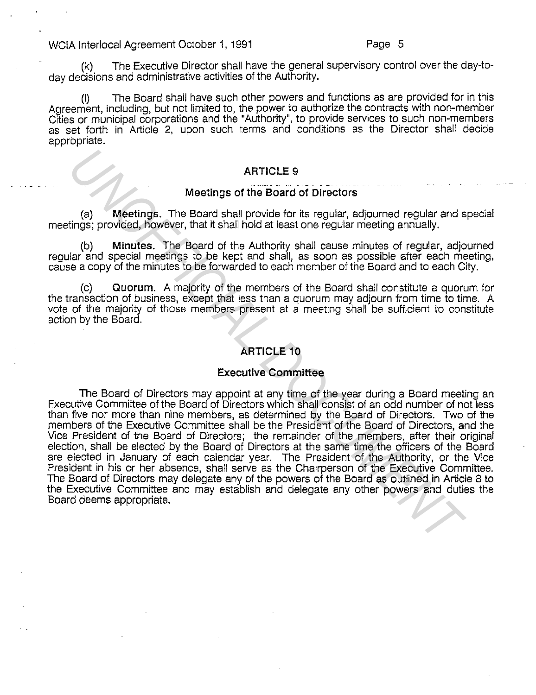(k) The Executive Director shall have the general supervisory control over the day-today decisions and administrative activities of the Authority.

(I) The Board shall have such other powers and functions as are provided for in this Agreement, including, but not limited to, the power to authorize the contracts with non-member Cities or municipal corporations and the "Authority", to provide services to such non-members as set forth in Article 2, upon such terms and conditions as the Director shall decide appropriate.

# **ARTICLE 9**

#### - - --- - -- **Meetings of the Board of Directors**

(a) **Meetings.** The Board shall provide for its regular, adjourned regular and special meetings; provided, however, that it shall hold at least one regular meeting annually.

(b) **Minutes.** The Board of the Authority shall cause minutes of regular, adjourned regular and special meetings to be kept and shall, as soon as possible after each meeting, cause a copy of the minutes to be forwarded to each member of the Board and to each City.

(c) **Quorum.** A majority of the members of the Board shall constitute a quorum for the transaction of business, except that less than a quorum may adjourn from time to time. A vote of the majority of those members present at a meeting shall be sufficient to constitute action by the Board.

# **ARTICLE 10**

# **Executive Committee**

The Board of Directors may appoint at any time of the year during a Board meeting an Executive Committee of the Board of Directors which shall consist of an odd number of not less than five nor more than nine members, as determined by the Board of Directors. Two of the members of the Executive Committee shall be the President of the Board of Directors, and the Vice President of the Board of Directors; the remainder of the members, after their original election, shall be elected by the Board of Directors at the same time the officers of the Board are elected in January of each calendar year. The President of the Authority, or the Vice President in his or her absence, shall serve as the Chairperson of the Executive Committee. The Board of Directors may delegate any of the powers of the Board as outlined in Article 8 to the Executive Committee and may establish and delegate any other powers and duties the Board deems appropriate. **Example 10 Example 10 Example 10 Example 10 Example 10 Example 10 Example 10 Example 10 Example 10 Example 10 Example 10 Example 10 Example 10 Example 10 Example 10 Example 10 Example 10**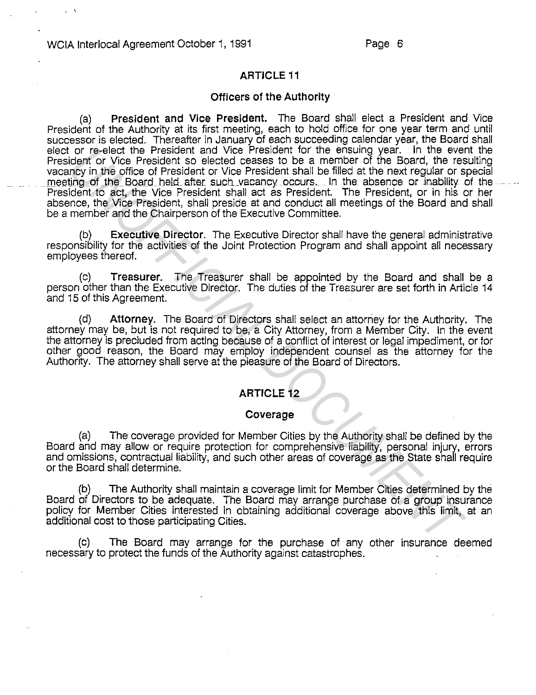' '

# **ARTICLE 11**

#### **Officers of the Authority**

(a) **President and Vice President.** The Board shall elect a President and Vice President of the Authority at its first meeting, each to hold office for one year term and until successor is elected. Thereafter in January of each succeeding calendar year, the Board shall elect or re-elect the President and Vice President for the ensuing year. In the event the President or Vice President so elected ceases to be a member of the Board, the resulting vacancy in the office of President or Vice President shall be filled at the next regular or special<br>meeting of the Board held after such vacancy occurs. In the absence or inability of the President to act, the Vice President shall act as President. The President, or in his or her absence, the Vice President, shall preside at and conduct all meetings of the Board and shall be a member and the Chairperson of the Executive Committee. or re-elect the President and Vice President and Vice President to the ensure pear. In the event in the filled at the nextreplyin the office of President shall be filled at the nextreplyin to Vice President shall be the ne

(b) **Executive Director.** The Executive Director shall have the general administrative responsibility for the activities of the Joint Protection Program and shall appoint all necessary employees thereof.

(c) **Treasurer.** The Treasurer shall be appointed by the Board and shall be a person other than the Executive Director. The duties of the Treasurer are set forth in Article 14 and 15 of this Agreement.

(d) **Attorney.** The Board of Directors shall select an attorriey for the Authority. The attorney may be, but is not required to be, a City Attorney, from a Member City. In the event the attorney is precluded from acting because of a conflict of interest or legal impediment, or for other good reason, the Board may employ independent counsel as the attorney for the Authority. The attorney shall serve at the pleasure of the Board of Directors.

# **ARTICLE 12**

#### **Coverage**

(a) The coverage provided for Member Cities by the Authority shall be defined by the Board and may allow or require protection for comprehensive liability, personal injury, errors and omissions, contractual liability, and such other areas of coverage as the State shall require or the Board shall determine.

(b) The Authority shall maintain a coverage limit for Member Cities determined by the Board of Directors to be adequate. The Board may arrange purchase of a group insurance policy for Member Cities interested in obtaining additional coverage above this limit, at an additional cost to those participating Cities.

(c) The Board may arrange for the purchase of any other insurance deemed necessary to protect the funds of the Authority against catastrophes.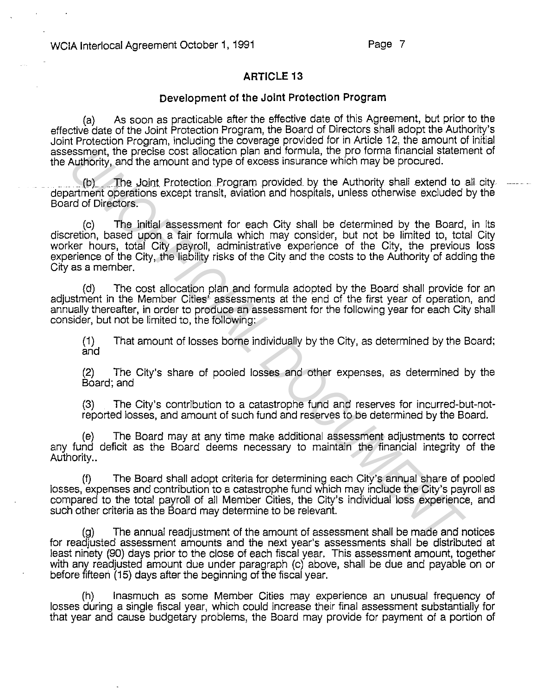# **ARTICLE 13**

#### **Development of the Joint Protection Program**

(a) As soon as practicable after the effective date of this Agreement, but prior to the effective date of the Joint Protection Program, the Board of Directors shall adopt the Authority's Joint Protection Program, including the coverage provided for in Article 12, the amount of initial assessment, the precise cost allocation plan and formula, the pro forma financial statement of the Authority, and the amount and type of excess insurance which may be procured .

The Joint Protection Program provided by the Authority shall extend to all city department operations except transit, aviation and hospitals, unless otherwise excluded by the Board of Directors.

(c) The initial assessment for each City shall be determined by the Board, in its discretion, based upon a fair formula which may consider, but not be limited to, total City worker hours, total City payroll, administrative experience of the City, the previous loss experience of the City, the liability risks of the City and the costs to the Authority of adding the City as a member. **Example, the precise cost allocation pian and formula, the pro forma financial statement of the annount and type of excess insurance which may be procured.<br>
(b) The Joint Protection Program provided by the Authority shall** 

(d) The cost allocation plan and formula adopted by the Board shall provide for an adjustment in the Member Cities' assessments at the end of the first year of operation, and annually thereafter, in order to produce an assessment for the following year for each City shall consider, but not be limited to, the following:

(1) That amount of losses borne individually by the City, as determined by the Board; and

(2) The City's share of pooled losses and other expenses, as determined by the Board; and

(3) The City's contribution to a catastrophe fund and reserves for incurred-but-notreported losses, and amount of such fund and reserves to be determined by the Board.

(e) The Board may at any time make additional assessment adjustments to correct any fund deficit as the Board deems necessary to maintain the financial integrity of the Authority..

(f) The Board shall adopt criteria for determining each City's annual share of pooled losses, expenses and contribution to a catastrophe fund which may include the City's payroll as compared to the total payroll of all Member Cities, the City's individual loss experience, and such other criteria as the Board may determine to be relevant.

(g) The annual readjustment of the amount of assessment shall be made and notices for readjusted assessment amounts and the next year's assessments shall be distributed at least ninety (90) days prior to the close of each fiscal year. This assessment amount, together with any readjusted amount due under paragraph (c) above, shall be due and payable on or before fifteen (15) days after the beginning of the fiscal year.

(h) Inasmuch as some Member Cities may experience an unusual frequency of losses during a single fiscal year, which could increase their final assessment substantially for that year and cause budgetary problems, the Board may provide for payment of a portion of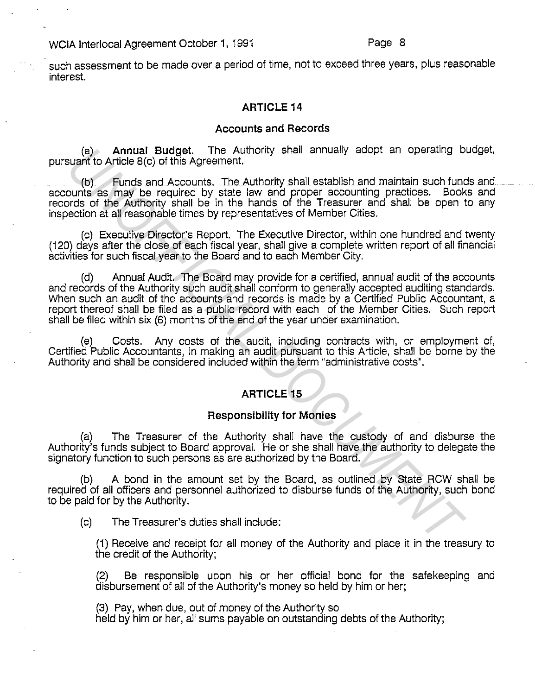such assessment to be made over a period of time, not to exceed three years, plus reasonable interest.

# **ARTICLE 14**

#### **Accounts and Records**

(a) **Annual Budget.** The Authority shall annually adopt an operating budget, pursuant to Article 8(c) of this Agreement.

(b) Funds and Accounts. The Authority shall establish and maintain such fuods aod \_ accounts as may be required by state law and proper accounting practices. Books and records of the Authority shall be in the hands of the Treasurer and shall be open to any inspection at all reasonable times by representatives of Member Cities.

(c) Executive Director's Report. The Executive Director, within one hundred and twenty (120) days after the close of each fiscal year, shall give a complete written report of all financial activities for such fiscal year to the Board and to each Member City.

Annual Audit. The Board may provide for a certified, annual audit of the accounts and records of the Authority such audit shall conform to generally accepted auditing standards. When such an audit of the accounts and records is made by a Certified Public Accountant, a report thereof shall be filed as a public record with each of the Member Cities. Such report shall be filed within six (6) months of the end of the year under examination. (a) **Annual Budget.** The Authority shall and particular to Article B(c) of this Agreement.<br> **(b)** Funds and Accounts. The Authority shall establish and maintain such fundamy buonts as may be required by state law and prope

(e) Costs. Any costs of the audit, including contracts with, or employment of, Certified Public Accountants, in making an audit pursuant to this Article, shall be borne by the Authority and shall be considered included within the term "administrative costs".

# **ARTICLE 15**

#### **Responsibility for Monies**

(a) The Treasurer of the Authority shall have the custody of and disburse the Authority's funds subject to Board approval. He or she shall have the authority to delegate the signatory function to such persons as are authorized by the Board.

A bond in the amount set by the Board, as outlined by State RCW shall be required of all officers and personnel authorized to disburse funds of the Authority, such bond to be paid for by the Authority.

(c) The Treasurer's duties shall include:

(1) Receive and receipt for all money of the Authority and place it in the treasury to the credit of the Authority;

(2) Be responsible upon his or her official bond for the safekeeping and disbursement of all of the Authority's money so held by him or her;

(3) Pay, when due, out of money of the Authority so held by him or her, all sums payable on outstanding debts of the Authority;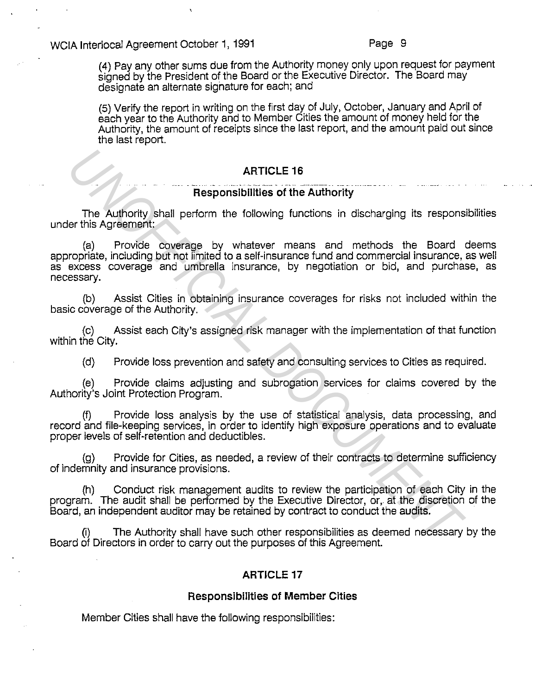(4) Pay any other sums due from the Authority money only upon request for payment signed by the President of the Board or the Executive Director. The Board may designate an alternate signature for each; and

(5) Verify the report in writing on the first day of July, October, January and April of each year to the Authority and to Member Cities the amount of money held for the Authority, the amount of receipts since the last report, and the amount paid out since the last report.

## **ARTICLE 16**

# **Responsibilities of the Authority**

The Authority shall perform the following functions in discharging its responsibilities under this Agreement:

(a) Provide coverage by whatever means and methods the Board deems appropriate, including but not limited to a self-insurance fund and commercial insurance, as well as excess coverage and umbrella insurance, by negotiation or bid, and purchase, as necessary. **Example 16**<br> **Example 16**<br> **Example 16**<br> **Example 16**<br> **Example 16**<br> **Example 16**<br> **Example 16**<br> **Example 16**<br> **Example 16**<br> **Example 16**<br> **Example 16**<br> **Example 16**<br> **Example 16**<br> **Example 16**<br> **Example 16**<br> **Example 16** 

(b) Assist Cities in obtaining insurance coverages for risks not included within the basic coverage of the Authority.

(c) Assist each City's assigned risk manager with the implementation of that function within the City.

(d) Provide loss prevention and safety and consulting services to Cities as required.

(e) Provide claims adjusting and subrogation services for claims covered by the Authority's Joint Protection Program.

(f) Provide loss analysis by the use of statistical analysis, data processing, and record and file-keeping services, in order to identify high exposure operations and to evaluate proper levels of self-retention and deductibles.

(g) Provide for Cities, as needed, a review of their contracts to determine sufficiency of indemnity and insurance provisions.

(h) Conduct risk management audits to review the participation of each City in the program. The audit shall be performed by the Executive Director, or, at the discretion of the Board, an independent auditor may be retained by contract to conduct the audits.

The Authority shall have such other responsibilities as deemed necessary by the Board of Directors in order to carry out the purposes of this Agreement.

# **ARTICLE 17**

#### **Responsibilities of Member Cities**

Member Cities shall have the following responsibilities: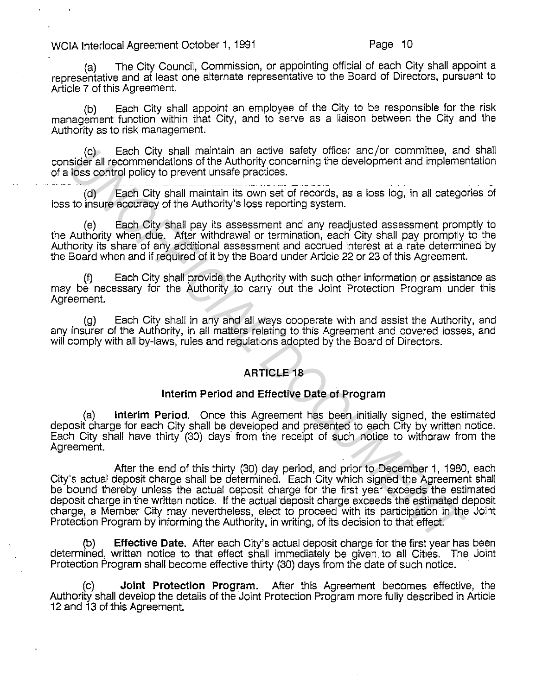(a) The City Council, Commission, or appointing official of each. City shall appoint a representative and at least one alternate representative to the Board of Directors, pursuant to Article 7 of this Agreement.

(b) Each City shall appoint an employee of the City to be responsible for the risk management function within that City, and to serve as a liaison between the City and the Authority as to risk management.

(c) Each City shall maintain an active safety officer and/or committee, and shall consider all recommendations of the Authority concerning the development and implementation of a loss control policy to prevent unsafe practices.

ومدادة إمامستنا مساورة (d) Each City shall maintain its own set of records, as a loss log, in all categories of loss to insure accuracy of the Authority's loss reporting system.

(e) Each City shall pay its assessment and any readjusted assessment promptly to the Authority when due. After withdrawal or termination, each City shall pay promptly to the Authority its share of any additional assessment and accrued interest at a rate determined by the Board when and if required of it by the Board under Article 22 or 23 of this Agreement.

(f) Each City shall provide the Authority with such other information or assistance as may be necessary for the Authority to carry out the Joint Protection Program under this Agreement.

(g) Each City shall in any and all ways cooperate with and assist the Authority, and any insurer of the Authority, in all matters relating to this Agreement and covered losses, and will comply with all by-laws, rules and regulations adopted by the Board of Directors.

# **ARTICLE 18**

# **Interim Period and Effective Date of Program**

(a) **Interim Period.** Once this Agreement has been initially signed, the estimated deposit charge for each City shall be developed and presented to each City by written notice. Each City shall have thirty (30) days from the receipt of such notice to withdraw from the Agreement.

After the end of this thirty (30) day period, and prior to December 1, 1980, each City's actual deposit charge shall be determined. Each City which signed the Agreement shall be bound thereby unless the actual deposit charge for the first year exceeds the estimated deposit charge in the written notice. If the actual deposit charge exceeds the estimated deposit charge, a Member City may nevertheless, elect to proceed with its participation in the Joint Protection Program by informing the Authority, in writing, of its decision to that effect. (c) Each City shall maintain an active safety officer and controlling, and the distinguist of the Authority concerning the development and implement<br>(a) Each City shall maintain its own set of records, as a loss log, in al

(b) **Effective Date.** After each City's actual deposit charge for the first year has been determined, written notice to that effect shall immediately be given to all Cities. The Joint Protection Program shall become effective thirty (30) days from the date of such notice.

**Joint Protection Program.** After this Agreement becomes effective, the Authority shall develop the details of the Joint Protection Program more fully described in Article 12 and 13 of this Agreement.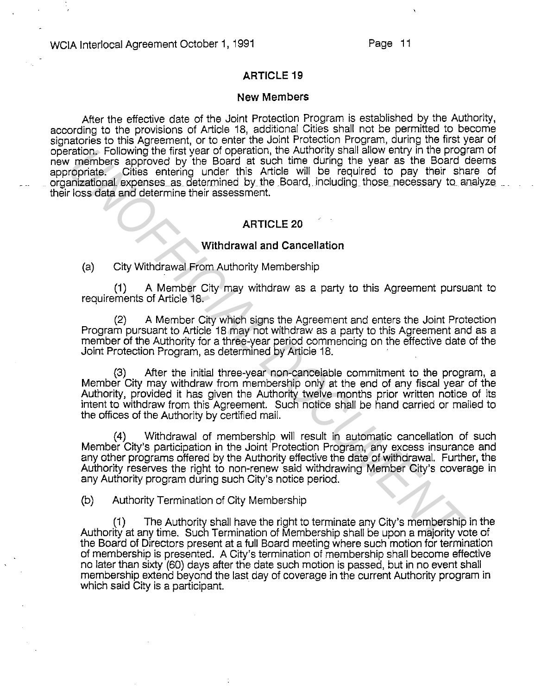# **ARTICLE 19**

#### **New Members**

After the effective date of the Joint Protection Program is established by the Authority, according to the provisions of Article 18, additional Cities shall not be permitted to become signatories to this Agreement, or to enter the Joint Protection Program, during the first year of operation. Following the first year of operation, the Authority shall allow entry in the program of new members approved by the Board at such time during the year as the Board deems appropriate. Cities entering under this Article will be required to pay their share of organizational expenses as determined by the Board, including those necessary to analyze their loss data and determine their assessment.

#### **ARTICLE20**

#### **Withdrawal and Cancellation**

(a) City Withdrawal From Authority Membership

(1) A Member City may withdraw as a party to this Agreement pursuant to requirements of Article 18.

(2) A Member City which signs the Agreement and enters the Joint Protection Program pursuant to Article 18 may not withdraw as a party to this Agreement and as a member of the Authority for a three-year period commencing on the effective date of the Joint Protection Program, as determined by Article 18.

(3) After the initial three-year non-cancelable commitment to the program, a Member City may withdraw from membership only at the end of any fiscal year of the Authority, provided it has given the Authority twelve months prior written notice of its intent to withdraw from this Agreement. Such notice shall be hand carried or mailed to the offices of the Authority by certified mail. ration, Following the first year of operation, the Authority shall allow entry in the program<br> *Underlines approved by* the Board at such time during the year as the Board<br>
increased and celemine their assessment.<br>
ARTICLE

(4) Withdrawal of membership will result in automatic cancellation of such Member City's participation in the Joint Protection Program, any excess insurance and any other programs offered by the Authority effective the date of withdrawal. Further, the Authority reserves the right to non-renew said withdrawing Member City's coverage in any Authority program during such City's notice period.

(b) Authority Termination of City Membership

(1) The Authority shall have the right to terminate any City's membership in the Authority at any time. Such Termination of Membership shall be upon a majority vote of the Board of Directors present at a full Board meeting where such motion for termination of membership is presented. A City's termination of membership shall become effective no later than sixty (60) days after the date such motion is passed, but in no event shall membership extend beyond the last day of coverage in the current Authority program in which said City is a participant.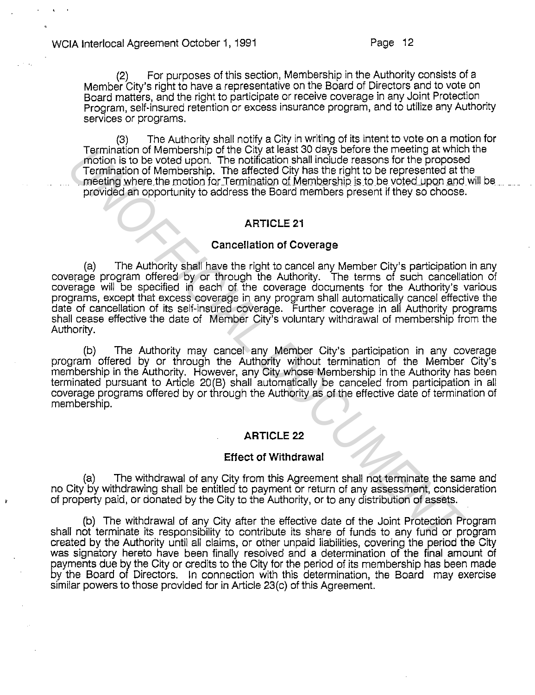(2) For purposes of this section, Membership in the Authority consists of a Member City's right to have a representative on the Board of Directors and to vote on Board matters, and the right to participate or receive coverage in any Joint Protection Program, self-insured retention or excess insurance program, and to utilize any Authority services or programs.

(3) The Authority shall notify a City in writing of its intent to vote on a motion for Termination of Membership of the City at least 30 days before the meeting at which the motion is to be voted upon. The notification shall include reasons for the proposed Termination of Membership. The affected City has the right to be represented at the meeting where the motion for Termination of Membership is to be voted upon and will be. provided an opportunity to address the Board members present if they so choose.

# **ARTICLE 21**

# **Cancellation of Coverage**

(a) The Authority shall have the right to cancel any Member City's participation in any coverage program offered by or through the Authority. The terms of such cancellation of coverage will be specified in each of the coverage documents for the Authority's various programs, except that excess coverage in any program shall automatically cancel effective the date of cancellation of its self-insured coverage. Further coverage in all Authority programs shall cease effective the date of Member City's voluntary withdrawal of membership from the Authority. I remination of Membership of the City at least 30 does better the meeting at which<br>Termination of Membership. The notification shall include reasons for the propose<br>
Termination of Membership. The affected City has the ri

(b) The Authority may cancel any Member City's participation in any coverage program offered by or through the Authority without termination of the Member City's membership in the Authority. However, any City whose Membership in the Authority has been terminated pursuant to Article 20(B) shall automatically be canceled from participation in all coverage programs offered by or through the Authority as of the effective date of termination of membership.

# **ARTICLE 22**

# **Effect of Withdrawal**

(a) The withdrawal of any City from this Agreement shall not terminate the same and no City by withdrawing shall be entitled to payment or return of any assessment, consideration of property paid, or donated by the City to the Authority, or to any distribution of assets.

(b) The withdrawal of any City after the effective date of the Joint Protection Program shall not terminate its responsibility to contribute its share of funds to any fund or program created by the Authority until all claims, or other unpaid liabilities, covering the period the City was signatory hereto have been finally resolved and a determination of the final amount of payments due by the City or credits to the City for the period of its membership has been made by the Board of Directors. In connection with this determination, the Board may exercise similar powers to those provided for in Article 23(c) of this Agreement.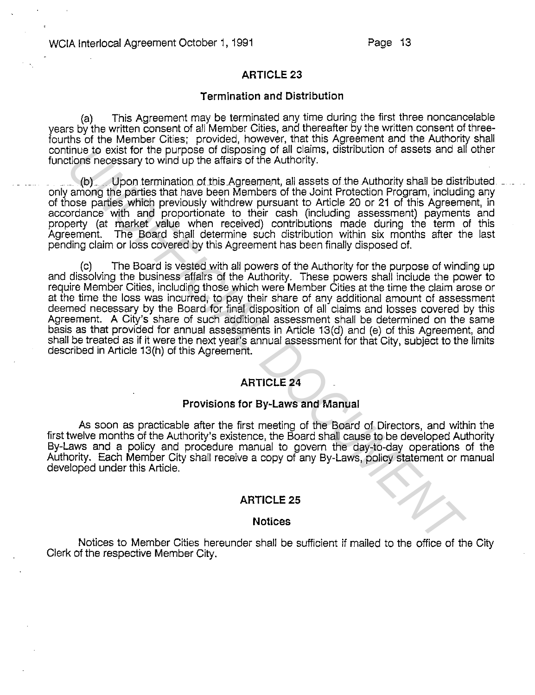# **ARTICLE 23**

#### **Termination and Distribution**

(a) This Agreement may be terminated any time during the first three noncancelable years by the written consent of all Member Cities, and thereafter by the written consent of threefourths of the Member Cities; provided, however, that this Agreement and the Authority shall continue to exist for the purpose of disposing of all claims, distribution of assets and all other functions necessary to wind up the affairs of the Authority.

(b) Upon termination of this Agreement, all assets of the Authority shall be distributed only among the parties that have been Members of the Joint Protection Program, including any of those parties which previously withdrew pursuant to Article 20 or 21 of this Agreement, in accordance with and proportionate to their cash (including assessment) payments and property (at market value when received) contributions made during the term of this Agreement. The Board shall determine such distribution within six months after the last pending claim or loss covered by this Agreement has been finally disposed of.

(c) The Board is vested with all powers of the Authority for the purpose of winding up and dissolving the business affairs of the Authority. These powers shall include the power to require Member Cities, including those which were Member Cities at the time the claim arose or at the time the loss was incurred, to pay their share of any additional amount of assessment deemed necessary by the Board for final disposition of all claims and losses covered by this Agreement. A City's share of such additional assessment shall be determined on the same basis as that provided for annual assessments in Article 13(d) and (e) of this Agreement, and shall be treated as if it were the next year's annual assessment for that City, subject to the limits described in Article 13(h) of this Agreement. thus to east for the purpose of disposing of all claims, allstration of assets and a<br>tidons necessary to wind up the aftars of the Authority.<br>
2. (b) Upon termination of this Agreement, all assets of the Authority shall be

# **ARTICLE24**

# **Provisions for By-Laws and Manual**

As soon as practicable after the first meeting of the Board of Directors, and within the first twelve months of the Authority's existence, the Board shall cause to be developed Authority By-Laws and a policy and procedure manual to govern the day-to-day operations of the Authority. Each Member City shall receive a copy of any By-Laws, policy statement or manual developed under this Article.

#### **ARTICLE25**

#### **Notices**

Notices to Member Cities hereunder shall be sufficient if mailed to the office of the City Clerk of the respective Member City.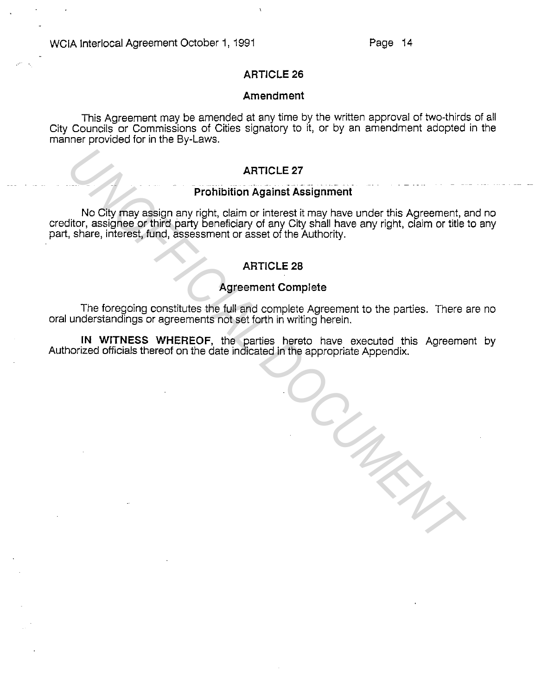*UNOFFICIAL DOCUMENT*

# **ARTICLE 26**

#### **Amendment**

This Agreement may be amended at any time by the written approval of two-thirds of all City Councils or Commissions of Cities signatory to it, or by an amendment adopted in the manner provided for in the By-Laws.

# **ARTICLE27**

# **Prohibition Against Assignment**

No City may assign any right, claim or interest it may have under this Agreement, and no creditor, assignee or third party beneficiary of any City shall have any right, claim or title to any part, share, interest, fund, assessment or asset of the Authority.

# **ARTICLE28**

# **Agreement Complete**

The foregoing constitutes the full and complete Agreement to the parties. There are no oral understandings or agreements not set forth in writing herein.

**IN WITNESS WHEREOF,** the parties hereto have executed this Agreement by Authorized officials thereof on the date indicated in the appropriate Appendix.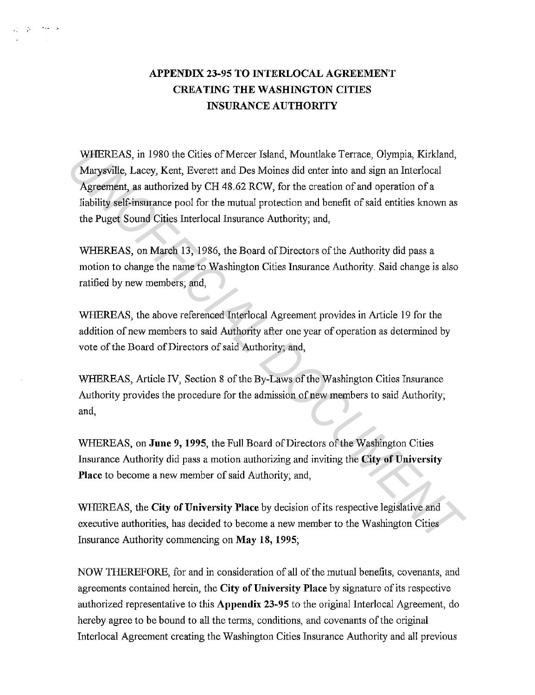# **APPENDIX 23-95 TO INTERLOCAL AGREEMENT CREATING THE WASHINGTON CITIES INSURANCE AUTHORITY**

فالعظ المؤادين

WHEREAS, in 1980 the Cities of Mercer Island, Mountlake Terrace, Olympia, Kirkland, Marysville, Lacey, Kent, Everett and Des Moines did enter into and sign an Interlocal Agreement, as authorized by CH 48.62 RCW, for the creation of and operation of a liability self-insurance pool for the mutual protection and benefit of said entities known as the Puget Sound Cities Interlocal Insurance Authority; and, WHEREAS, in 1980 the Cities of Mercer Island, Mountlake Terrace, Olympia, Kirkland,<br>Marysyille, Lacoy, Kent, Everett and Des Moines did enter into and sign an Interlocal<br>degreement, as authorized by CH 48.62 RCW, for the c

WHEREAS, on March 13, 1986, the Board of Directors of the Authority did pass a motion to change the name to Washington Cities Insurance Authority. Said change is also ratified by new members; and,

WHEREAS, the above referenced Interlocal Agreement provides in Article 19 for the addition of new members to said Authority after one year of operation as determined by vote of the Board of Directors of said Authority; and,

WHEREAS, Article IV, Section 8 of the By-Laws of the Washington Cities Insurance Authority provides the procedure for the admission of new members to said Authority; and,

WHEREAS, on **June 9, 1995,** the Full Board of Directors of the Washington Cities Insurance Authority did pass a motion authorizing and inviting the **City of University Place** to become a new member of said Authority; and,

WHEREAS, the **City of University Place** by decision of its respective legislative and executive authorities, has decided to become a new member to the Washington Cities Insurance Authority commencing on **May 18, 1995;** 

NOW THEREFORE, for and in consideration of all of the mutual benefits, covenants, and agreements contained herein, the **City of University Place** by signature of its respective authorized representative to this **Appendix 23-95** to the original Interlocal Agreement, do hereby agree to be bound to all the terms, conditions, and covenants of the original Interlocal Agreement creating the Washington Cities Insurance Authority and all previous